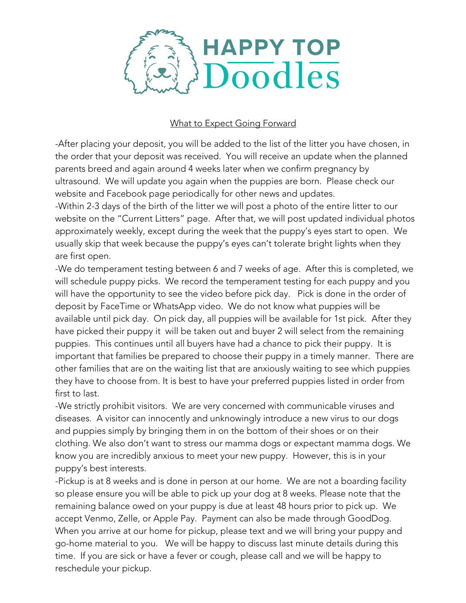

## What to Expect Going Forward

-After placing your deposit, you will be added to the list of the litter you have chosen, in the order that your deposit was received. You will receive an update when the planned parents breed and again around 4 weeks later when we confirm pregnancy by ultrasound. We will update you again when the puppies are born. Please check our website and Facebook page periodically for other news and updates.

-Within 2-3 days of the birth of the litter we will post a photo of the entire litter to our website on the "Current Litters" page. After that, we will post updated individual photos approximately weekly, except during the week that the puppy's eyes start to open. We usually skip that week because the puppy's eyes can't tolerate bright lights when they are first open.

-We do temperament testing between 6 and 7 weeks of age. After this is completed, we will schedule puppy picks. We record the temperament testing for each puppy and you will have the opportunity to see the video before pick day. Pick is done in the order of deposit by FaceTime or WhatsApp video. We do not know what puppies will be available until pick day. On pick day, all puppies will be available for 1st pick. After they have picked their puppy it will be taken out and buyer 2 will select from the remaining puppies. This continues until all buyers have had a chance to pick their puppy. It is important that families be prepared to choose their puppy in a timely manner. There are other families that are on the waiting list that are anxiously waiting to see which puppies they have to choose from. It is best to have your preferred puppies listed in order from first to last.

-We strictly prohibit visitors. We are very concerned with communicable viruses and diseases. A visitor can innocently and unknowingly introduce a new virus to our dogs and puppies simply by bringing them in on the bottom of their shoes or on their clothing. We also don't want to stress our mamma dogs or expectant mamma dogs. We know you are incredibly anxious to meet your new puppy. However, this is in your puppy's best interests.

-Pickup is at 8 weeks and is done in person at our home. We are not a boarding facility so please ensure you will be able to pick up your dog at 8 weeks. Please note that the remaining balance owed on your puppy is due at least 48 hours prior to pick up. We accept Venmo, Zelle, or Apple Pay. Payment can also be made through GoodDog. When you arrive at our home for pickup, please text and we will bring your puppy and go-home material to you. We will be happy to discuss last minute details during this time. If you are sick or have a fever or cough, please call and we will be happy to reschedule your pickup.